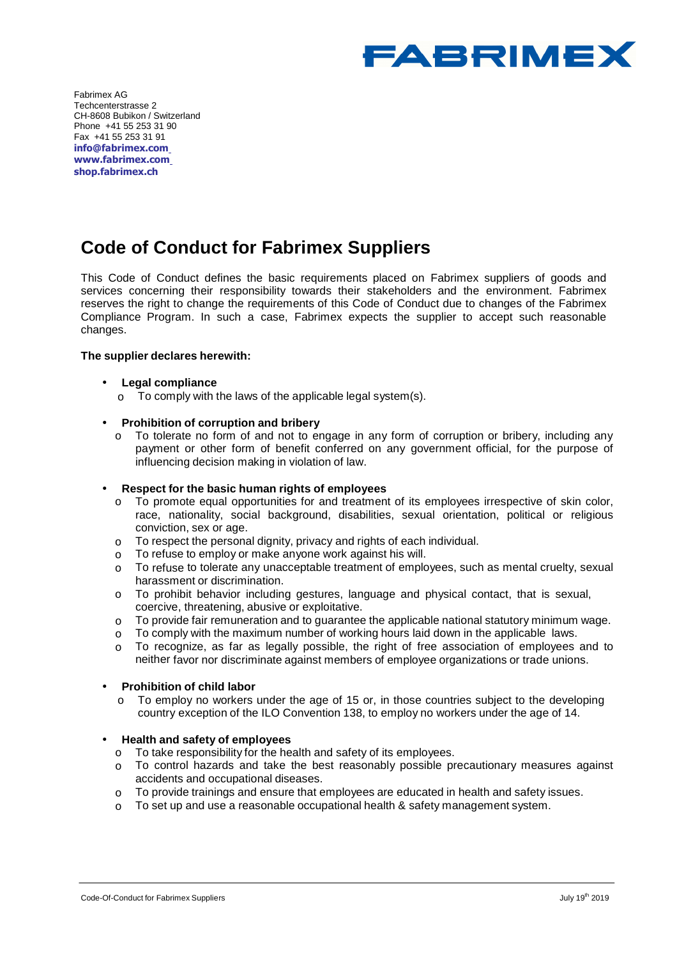

Fabrimex AG Techcenterstrasse 2 CH-8608 Bubikon / Switzerland Phone +41 55 253 31 90 Fax +41 55 253 31 91 **info@fabrimex.com www.fabrimex.com shop.fabrimex.ch** 

# **Code of Conduct for Fabrimex Suppliers**

This Code of Conduct defines the basic requirements placed on Fabrimex suppliers of goods and services concerning their responsibility towards their stakeholders and the environment. Fabrimex reserves the right to change the requirements of this Code of Conduct due to changes of the Fabrimex Compliance Program. In such a case, Fabrimex expects the supplier to accept such reasonable changes.

# **The supplier declares herewith:**

- **Legal compliance**
	- $\circ$  To comply with the laws of the applicable legal system(s).

## • **Prohibition of corruption and bribery**

 $\circ$  To tolerate no form of and not to engage in any form of corruption or bribery, including any payment or other form of benefit conferred on any government official, for the purpose of influencing decision making in violation of law.

#### • **Respect for the basic human rights of employees**

- o To promote equal opportunities for and treatment of its employees irrespective of skin color, race, nationality, social background, disabilities, sexual orientation, political or religious conviction, sex or age.
- o To respect the personal dignity, privacy and rights of each individual.
- o To refuse to employ or make anyone work against his will.
- $\circ$  To refuse to tolerate any unacceptable treatment of employees, such as mental cruelty, sexual harassment or discrimination.
- $\circ$  To prohibit behavior including gestures, language and physical contact, that is sexual, coercive, threatening, abusive or exploitative.
- o To provide fair remuneration and to guarantee the applicable national statutory minimum wage.
- $\circ$  To comply with the maximum number of working hours laid down in the applicable laws.
- o To recognize, as far as legally possible, the right of free association of employees and to neither favor nor discriminate against members of employee organizations or trade unions.

#### • **Prohibition of child labor**

o To employ no workers under the age of 15 or, in those countries subject to the developing country exception of the ILO Convention 138, to employ no workers under the age of 14.

#### • **Health and safety of employees**

- $\circ$  To take responsibility for the health and safety of its employees.<br> $\circ$  To control hazards and take the best reasonably possible pro
- To control hazards and take the best reasonably possible precautionary measures against accidents and occupational diseases.
- o To provide trainings and ensure that employees are educated in health and safety issues.
- $\circ$  To set up and use a reasonable occupational health & safety management system.